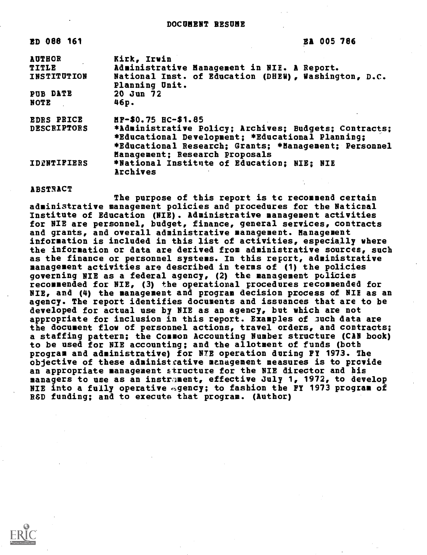ED 088 161 EA 005 786

| <b>AUTHOR</b><br>TITLE | Kirk, Irwin<br>Administrative Management in NIE. A Report.                                                                                                         |
|------------------------|--------------------------------------------------------------------------------------------------------------------------------------------------------------------|
| INSTITUTION            | National Inst. of Education (DHEW), Washington, D.C.<br>Planning Unit.                                                                                             |
| PUB DATE               | 20 Jun 72                                                                                                                                                          |
| NOTE                   | 46р.                                                                                                                                                               |
| <b>EDRS PRICE</b>      | HF-\$0.75 HC-\$1.85                                                                                                                                                |
| <b>DESCRIPTORS</b>     | *Administrative Policy; Archives; Budgets; Contracts;<br>*Educational Development; *Educational Planning;<br>*Educational Research; Grants; *Management; Personnel |
| IDENTIFIERS            | Management; Research Proposals<br>*National Institute of Education; NIE: NIE<br>Archives                                                                           |

#### ABSTRACT

The purpose of this report is tc recommend certain administrative management policies and procedures for the Naticnal Institute of Education (NIE). Administrative management activities for NIE are personnel, budget, finance, general services, contracts and grants, and overall administrative management. Management information is included in this list of activities, especially where the information or data are derived from administrative sources, such as the finance or personnel systems. In this repert, administrative management activities are described in terms of (1) the policies governing NIE as a federal agency, (2) the management policies recommended for NIE, (3) the operational procedures recommended for NIE, and (4) the management and program decision process of HIE as an agency. The report identifies documents and issuances that are to be developed for actual use by NYE as an agency, but which are not appropriate for inclusion in this report. Examples of such data are the document flow of personnel actions, travel orders, and contracts; a staffing pattern; the Common Accounting Number structure (CAN book) to be used for NIE accounting; and the allotment of funds (both program and administrative) for NTE operation during FY 1973. The objective of these administrative management measures is to provide an appropriate management s\*ructure for the NIE director and his managers to use as an instrament, effective July 1, 1972, to develop NIE into a fully operative agency; to fashion the FY 1973 program of R8D funding; and to execute that program. (Author)

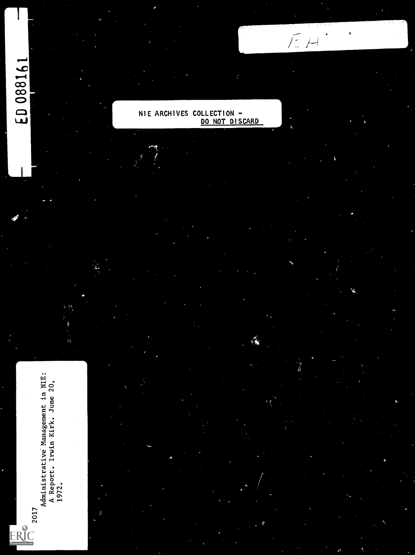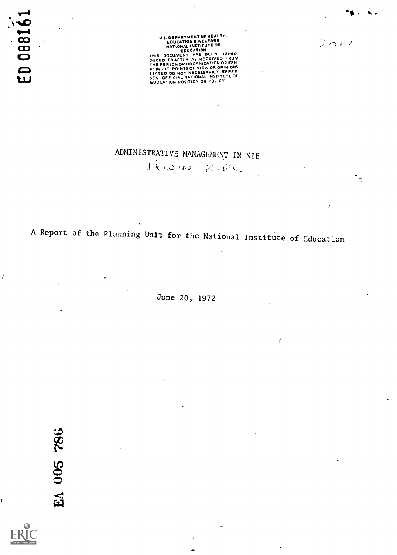0881 ្អ

 $\overline{ }$ 

ŀ

U.S. DEPARTMENT OF MEALTH,<br>
EDUCATION A WELFARE<br>
RATIONAL INSTITUTE OF<br>
EDUCATION<br>
EDUCATION BEEN REPRO<br>
DUCED EXACTLY AS RECEIVED FROM<br>
ATING IT POINTS OF VIEW OR OPINIONS<br>
ATING IT POINTS OF VIEW OR OPINIONS<br>
STATED DO N

 $2017$ 

Îŋ.

# ADMINISTRATIVE MANAGEMENT IN NIE

 $1$  RW  $N$  KIRK

A Report of the Planning Unit for the National Institute of Education

June 20, 1972

f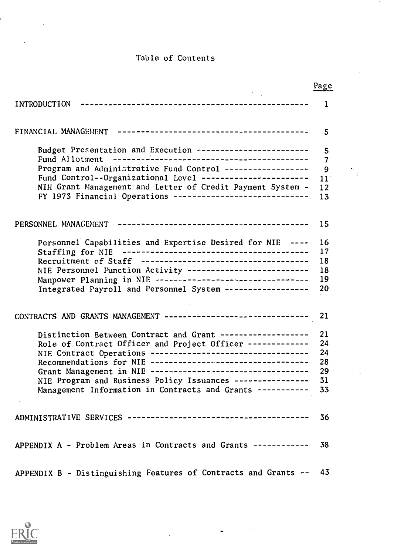# Table of Contents

|                                                                 | Page |
|-----------------------------------------------------------------|------|
| INTRODUCTION                                                    | 1    |
| FINANCIAL MANAGEMENT                                            | 5    |
| Budget Presentation and Execution -----------------------       | 5    |
| Fund Allotment                                                  | 7    |
| Program and Administrative Fund Control -----------------       | 9    |
| Fund Control--Organizational Level ----------------------       | 11   |
| NIH Grant Management and Letter of Credit Payment System -      | 12   |
| FY 1973 Financial Operations ----------------------------       | 13   |
|                                                                 | 15   |
| Personnel Capabilities and Expertise Desired for NIE ----       | 16   |
|                                                                 | 17   |
|                                                                 | 18   |
| NIE Personnel Function Activity --------------------------      | 18   |
| Manpower Planning in NIE ---------------------------------      | 19   |
|                                                                 |      |
| Integrated Payroll and Personnel System ------------------      | 20   |
| CONTRACTS AND GRANTS MANAGEMENT ------------------------------- | 21   |
| Distinction Between Contract and Grant -------------------      | 21   |
| Role of Contract Officer and Project Officer -------------      | 24   |
| NIE Contract Operations ----------------------------------      | 24   |
| Recommendations for NIE ----------------------------------      | 28   |
| Grant Management in NIE ----------------------------------      | 29   |
| NIE Program and Business Policy Issuances ----------------      | 31   |
| Management Information in Contracts and Grants -----------      | 33   |
|                                                                 | 36   |
| APPENDIX A - Problem Areas in Contracts and Grants -----------  | 38   |
| APPENDIX B - Distinguishing Features of Contracts and Grants -- | 43   |

 $\sim$   $\sim$ 

 $\frac{1}{2}$ 



 $\ddot{\phantom{a}}$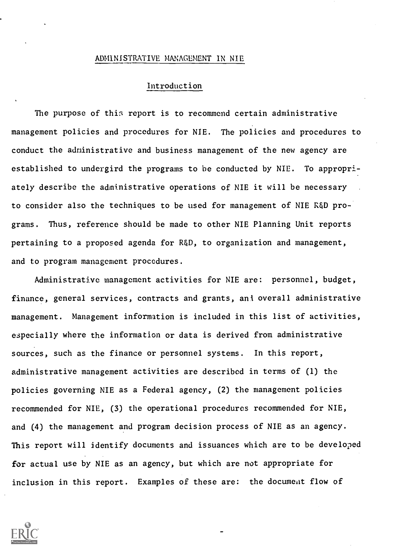#### ADMINISTRATIVE MANAGEMENT IN NIE

### Introduction

The purpose of this report is to recommend certain administrative management policies and procedures for NIE. The policies and procedures to conduct the administrative and business management of the new agency are established to undergird the programs to be conducted by NIE. To appropriately describe the administrative operations of NIE it will be necessary to consider also the techniques to be used for management of NIE R&D programs. Thus, reference should be made to other NIE Planning Unit reports pertaining to a proposed agenda for R&D, to organization and management, and to program management procedures.

Administrative management activities for NIE are: personnel, budget, finance, general services, contracts and grants, ani overall administrative management. Management information is included in this list of activities, especially where the information or data is derived from administrative sources, such as the finance or personnel systems. In this report, administrative management activities are described in terms of (1) the policies governing NIE as a Federal agency, (2) the management policies recommended for NIE, (3) the operational procedures recommended for NIE, and (4) the management and program decision process of NIE as an agency. This report will identify documents and issuances which are to be developed for actual use by NIE as an agency, but which are not appropriate for inclusion in this report. Examples of these are: the document flow of

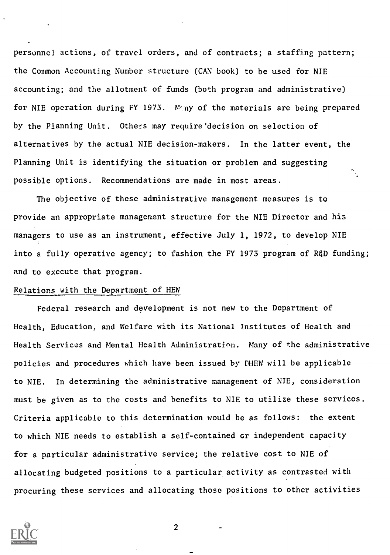personnel actions, of travel orders, and of contracts; a staffing pattern; the Common Accounting Number structure (CAN book) to be used for NIE accounting; and the allotment of funds (both program and administrative) for NIE operation during FY 1973. Many of the materials are being prepared by the Planning Unit. Others may require' decision on selection of alternatives by the actual NIE decision-makers. In the latter event, the Planning Unit is identifying the situation or problem and suggesting possible options. Recommendations are made in most areas.

The objective of these administrative management measures is to provide an appropriate management structure for the NIE Director and his managers to use as an instrument, effective July 1, 1972, to develop NIE into a fully operative agency; to fashion the FY 1973 program of R&D funding; and to execute that program.

#### Relations with the Department of HEW

Federal research and development is not new to the Department of Health, Education, and Welfare with its National Institutes of Health and Health Services and Mental Health Administration. Many of the administrative policies and procedures which have been issued by PHEW will be applicable to NIE. In determining the administrative management of NIE, consideration must be given as to the costs and benefits to NIE to utilize these services. Criteria applicable to this determination would be as follows: the extent to which NIE needs to establish a self-contained cr independent capacity for a particular administrative service; the relative cost to NIE of allocating budgeted positions to a particular activity as contrasted with procuring these services and allocating those positions to other activities

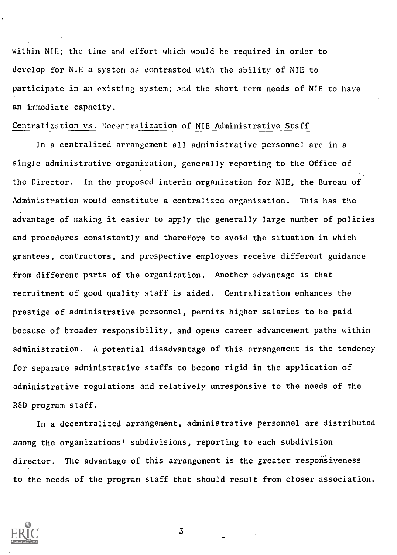within NIE; the time and effort which would be required in order to develop for NIE a system as contrasted with the ability of NIE to participate in an existing system; and the short term needs of NIE to have an immediate capacity.

#### Centralization vs. Decentralization of NIE Administrative Staff

In a centralized arrangement all administrative personnel are in a single administrative organization, generally reporting to the Office of the Director. In the proposed interim organization for NIE, the Bureau of Administration would constitute a centralized organization. This has the advantage of making it easier to apply the generally large number of policies and procedures consistently and therefore to avoid the situation in which grantees, contractors, and prospective employees receive different guidance from different parts of the organization. Another advantage is that recruitment of good quality staff is aided. Centralization enhances the prestige of administrative personnel, permits higher salaries to be paid because of broader responsibility, and opens career advancement paths within administration. A potential disadvantage of this arrangement is the tendency for separate administrative staffs to become rigid in the application of administrative regulations and relatively unresponsive to the needs of the R&D program staff.

In a decentralized arrangement, administrative personnel are distributed among the organizations' subdivisions, reporting to each subdivision director. The advantage of this arrangement is the greater responsiveness to the needs of the program staff that should result from closer association.

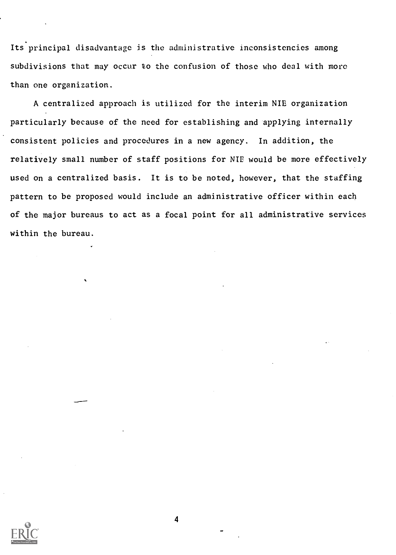Its principal disadvantage is the administrative inconsistencies among subdivisions that may occur to the confusion of those who deal with more than one organization.

A centralized approach is utilized for the interim NIE organization particularly because of the need for establishing and applying internally consistent policies and procedures in a new agency. In addition, the relatively small number of staff positions for NIE would be more effectively used on a centralized basis. It is to be noted, however, that the staffing pattern to be proposed would include an administrative officer within each of the major bureaus to act as a focal point for all administrative services within the bureau.

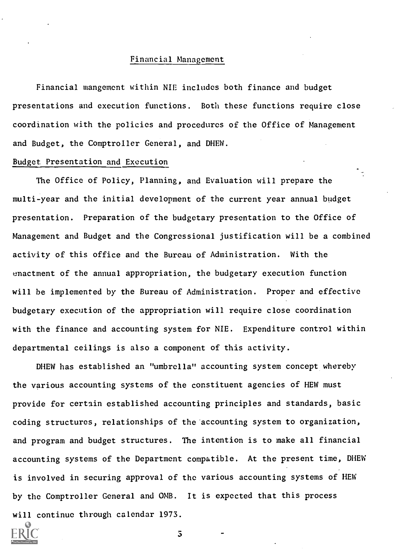#### Financial Management

Financial mangement within NIE includes both finance and budget presentations and execution functions. Both these functions require close coordination with the policies and procedures of the Office of Management and Budget, the Comptroller General, and DHEW.

÷.,

#### Budget Presentation and Execution

The Office of Policy, Planning, and Evaluation will prepare the multi-year and the initial development of the current year annual budget presentation. Preparation of the budgetary presentation to the Office of Management and Budget and the Congressional justification will be a combined activity of this office and the Bureau of Administration. With the enactment of the annual appropriation, the budgetary execution function will be implemented by the Bureau of Administration. Proper and effective budgetary execution of the appropriation will require close coordination with the finance and accounting system for NIE. Expenditure control within departmental ceilings is also a component of this activity.

DHEW has established an "umbrella" accounting system concept whereby the various accounting systems of the constituent agencies of HEW must provide for certain established accounting principles and standards, basic coding structures, relationships of the accounting system to organization, and program and budget structures. The intention is to make all financial accounting systems of the Department compatible. At the present time, DHEW is involved in securing approval of the various accounting systems of HEW by the Comptroller General and OMB. It is expected that this process will continue through calendar 1973.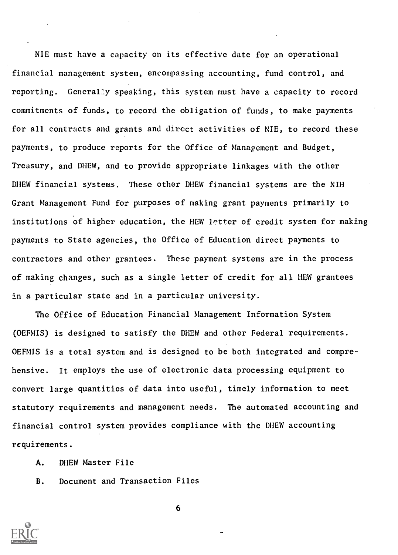NIE must have a capacity on its effective date for an operational financial management system, encompassing accounting, fund control, and reporting. Generally speaking, this system must have a capacity to record commitments of funds, to record the obligation of funds, to make payments for all contracts and grants and direct activities of NIE, to record these payments, to produce reports for the Office of Management and Budget, Treasury, and DIIEW, and to provide appropriate linkages with the other DIIEW financial systems. These other DHEW financial systems are the NIH Grant Management Fund for purposes of making grant payments primarily to institutions of higher education, the HEW letter of credit system for making payments to State agencies, the Office of Education direct payments to contractors and other grantees. These payment systems are in the process of making changes, such as a single letter of credit for all HEW grantees in a particular state and in a particular university.

The Office of Education Financial Management Information System (OEFMIS) is designed to satisfy the DHEW and other Federal requirements. OEFMIS is a total system and is designed to be both integrated and comprehensive. It employs the use of electronic data processing equipment to convert large quantities of data into useful, timely information to meet statutory requirements and management needs. The automated accounting and financial control system provides compliance with the DHEW accounting requirements.

A. DIIEW Master File

B. Document and Transaction Files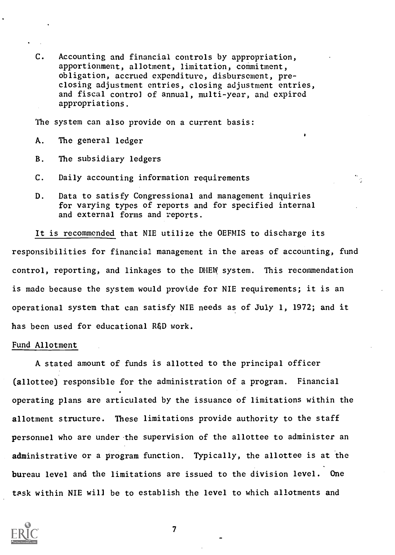C. Accounting and financial controls by appropriation, apportionment, allotment, limitation, commitment, obligation, accrued expenditure, disbursement, preclosing adjustment entries, closing adjustment entries, and fiscal control of annual, multi-year, and expired appropriations.

The system can also provide on a current basis:

- A. The general ledger
- B. The subsidiary ledgers
- C. Daily accounting information requirements
- D. Data to satisfy Congressional and management inquiries for varying types of reports and for specified internal and external forms and reports.

It is recommended that NIE utilize the OEFMIS to discharge its responsibilities for financial management in the areas of accounting, fund control, reporting, and linkages to the DHEW system. This recommendation is made because the system would provide for NIE requirements; it is an operational system that can satisfy NIE needs as of July 1, 1972; and it has been used for educational R&D work.

#### Fund Allotment

A stated amount of funds is allotted to the principal officer (allottee) responsible for the administration of a program. Financial operating plans are articulated by the issuance of limitations within the allotment structure. These limitations provide authority to the staff personnel who are under the supervision of the allottee to administer an administrative or a program function. Typically, the allottee is at the bureau level and the limitations are issued to the division level. One task within NIE will be to establish the level to which allotments and

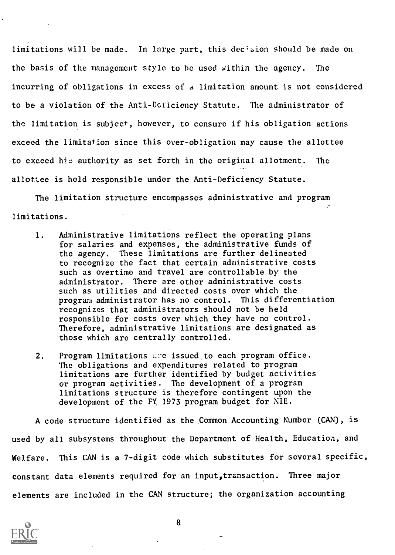limitations will be made. In large part, this decision should be made on the basis of the management style to be used within the agency. The incurring of obligations in excess of a limitation amount is not considered to be a violation of the Anti-Deficiency Statute. The administrator of the limitation is subject, however, to censure if his obligation actions exceed the limitation since this over-obligation may cause the allottee to exceed his authority as set forth in the original allotment. The allottee is held responsible under the Anti-Deficiency Statute.

The limitation structure encompasses administrative and program limitations.

- 1. Administrative limitations reflect the operating plans for salaries and expenses, the administrative funds of the agency. These limitations are further delineated to recognize the fact that certain administrative costs such as overtime and travel are controllable by the administrator. There are other administrative costs such as utilities and directed costs over which the program administrator has no control. This differentiation recognizes that administrators should not be held responsible for costs over which they have no control. Therefore, administrative limitations are designated as those which are centrally controlled.
- 2. Program limitations are issued to each program office. The obligations and expenditures related to program limitations are further identified by budget activities or program activities. The development of a program limitations structure is therefore contingent upon the development of the FY. 1973 program budget for NIE.

A code structure identified as the Common Accounting Number (CAN), is used by all subsystems throughout the Department of Health, Education, and Welfare. This CAN is a 7-digit code which substitutes for several specific, constant data elements required for an input, transaction. Three major elements are included in the CAN structure; the organization accounting

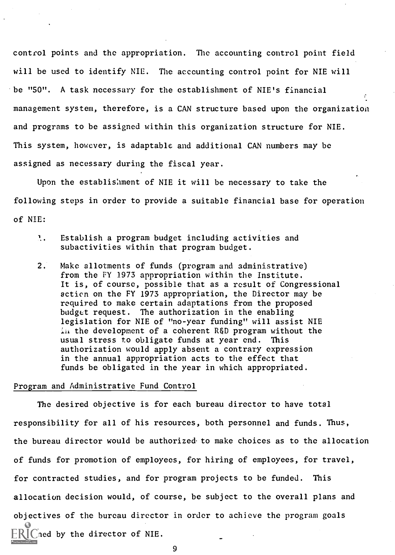control points and the appropriation. The accounting control point field will be used to identify NIE. The accounting control point for NIE will be "50". A task necessary for the establishment of NIE's financial management system, therefore, is a CAN structure based upon the organization and programs to be assigned within this organization structure for NIE. This system, however, is adaptable and additional CAN numbers may be assigned as necessary during the fiscal year.

Upon the establishment of NIE it will be necessary to take the following steps in order to provide a suitable financial base for operation of NIE:

- $1.$  Establish a program budget including activities and subactivities within that program budget.
- 2. Make allotments of funds (program and administrative) from the FY 1973 appropriation within the Institute. It is, of course, possible that as a result of Congressional action on the FY 1973 appropriation, the Director may be required to make certain adaptations from the proposed budget request. The authorization in the enabling legislation for NIE of "no-year funding" will assist NIE i. the development of a coherent R&D program without the usual stress to obligate funds at year end. This authorization would apply absent a contrary expression in the annual appropriation acts to the effect that funds be obligated in the year in which appropriated.

#### Program and Administrative Fund Control

The desired objective is for each bureau director to have total responsibility for all of his resources, both personnel and funds. Thus, the bureau director would be authorized to make choices as to the allocation of funds for promotion of employees, for hiring of employees, for travel, for contracted studies, and for program projects to be funded. This allocation decision would, of course, be subject to the overall plans and objectives of the bureau director in order to achieve the program goals  $\bigcap$ ed by the director of NIE.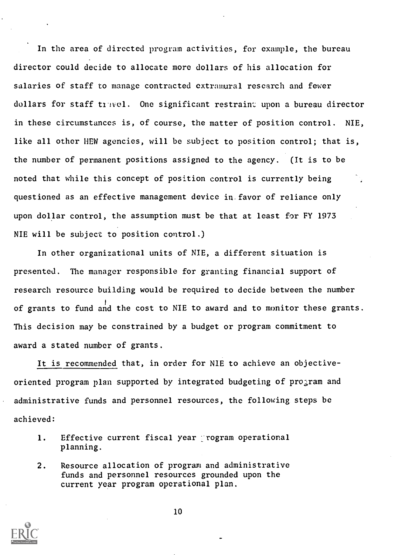In the area of directed program activities, for example, the bureau director could decide to allocate more dollars of his allocation for salaries of staff to manage contracted extramural research and fewer dollars for staff travel. One significant restraint upon a bureau director in these circumstances is, of course, the matter of position control. NIE, like all other HEW agencies, will be subject to position control; that is, the number of permanent positions assigned to the agency. (It is to be noted that while this concept of position control is currently being questioned as an effective management device in.favor of reliance only upon dollar control, the assumption must be that at least for FY 1973 NIE will be subject to position control.)

In other organizational units of NIE, a different situation is presented. The manager responsible for granting financial support of research resource building would be required to decide between the number of grants to fund and the cost to NIE to award and to monitor these grants. This decision may be constrained by a budget or program commitment to award a stated number of grants.

It is recommended that, in order for NIE to achieve an objectiveoriented program plan supported by integrated budgeting of program and administrative funds and personnel resources, the following steps be achieved:

- 1. Effective current fiscal year program operational planning.
- 2. Resource allocation of program and administrative funds and personnel resources grounded upon the current year program operational plan.

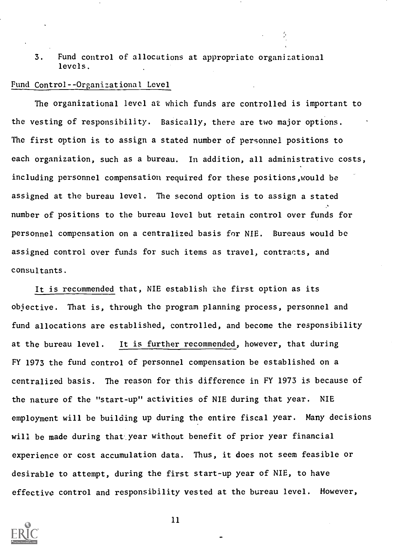3. Fund control of allocations at appropriate organizational levels.

#### Fund Control--Organizational Level

The organizational level at which funds are controlled is important to the vesting of responsibility. Basically, there are two major options. The first option is to assign a stated number of personnel positions to each organization, such as a bureau. In addition, all administrative costs, including personnel compensation required for these positions,would be assigned at the bureau level. The second option is to assign a stated number of positions to the bureau level but retain control over funds for personnel compensation on a centralized basis for NIE. Bureaus would be assigned control over funds for such items as travel, contracts, and consultants.

It is recommended that, NIE establish the first option as its objective. That is, through the program planning process, personnel and fund allocations are established, controlled, and become the responsibility at the bureau level. It is further recommended, however, that during FY 1973 the fund control of personnel compensation be established on a centralized basis. The reason for this difference in FY 1973 is because of the nature of the "start-up" activities of NIE during that year. NIE employment will be building up during the entire fiscal year. Many decisions will be made during that year without benefit of prior year financial experience or cost accumulation data. Thus, it does not seem feasible or desirable to attempt, during the first start-up year of NIE, to have effective control and responsibility vested at the bureau level. However,

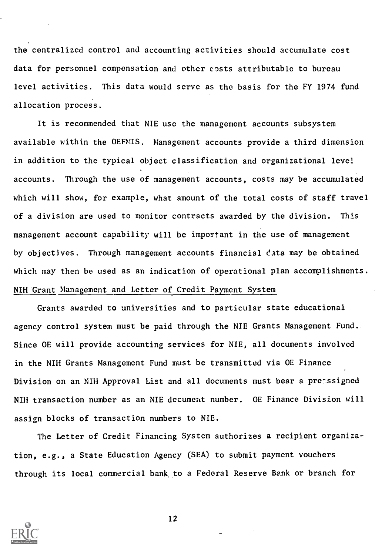the centralized control and accounting activities should accumulate cost data for personnel compensation and other costs attributable to bureau level activities. This data would serve as the basis for the FY 1974 fund allocation process.

It is recommended that NIE use the management accounts subsystem available within the OEFMIS. Management accounts provide a third dimension in addition to the typical object classification and organizational level accounts. Through the use of management accounts, costs may be accumulated which will show, for example, what amount of the total costs of staff travel of a division are used to monitor contracts awarded by the division. This management account capability will be important in the use of management. by objectives. Through management accounts financial data may be obtained which may then be used as an indication of operational plan accomplishments. NIH Grant Management and Letter of Credit Payment System

Grants awarded to universities and to particular state educational agency control system must be paid through the NIE Grants Management Fund. Since OE will provide accounting services for NIE, all documents involved in the NIH Grants Management Fund must be transmitted via OE Finance Division on an NIH Approval List and all documents must bear a preessigned NIH transaction number as an NIE decument number. OE Finance Division will assign blocks of transaction numbers to NIE.

The Letter of Credit Financing System authorizes a recipient organization, e.g., a State Education Agency (SEA) to submit payment vouchers through its local commercial bank, to a Federal Reserve Bank or branch for

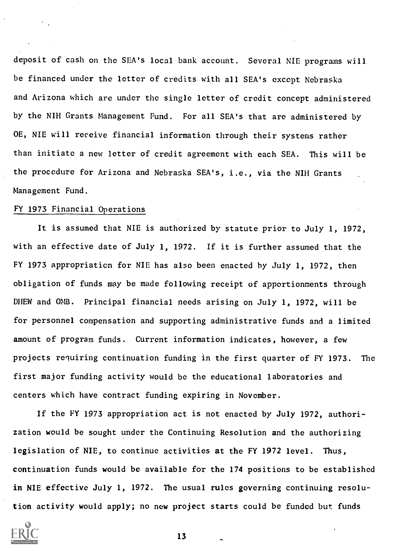deposit of cash on the SEA's local bank account. Several NIE programs will be financed under the letter of credits with all SEA's except Nebraska and Arizona which are under the single letter of credit concept administered by the NIH Grants Management Fund. For all SEA's that are administered by OE, NIE will receive financial information through their systems rather than initiate a new letter of credit agreement with each SEA. This will be the procedure for Arizona and Nebraska SEA's, i.e., via the NIH Grants Management Fund.

#### FY 1973 Financial Operations

It is assumed that NIE is authorized by statute prior to July 1, 1972, with an effective date of July 1, 1972. If it is further assumed that the FY 1973 appropriation for NIE has also been enacted by July 1, 1972, then obligation of funds may be made following receipt of apportionments through DHEW and OMB. Principal financial needs arising on July 1, 1972, will be for personnel compensation and supporting administrative funds and a limited amount of program funds. Current information indicates, however, a few projects requiring continuation funding in the first quarter of FY 1973. The first major funding activity would be the educational laboratories and centers which have contract funding expiring in November.

If the FY 1973 appropriation act is not enacted by July 1972, authorization would be sought under the Continuing Resolution and the authorizing legislation of NIE, to continue activities at the FY 1972 level. Thus, continuation funds would be available for the 174 positions to be established in NIE effective July 1, 1972. The usual rules governing continuing resolution activity would apply; no new project starts could be funded but funds

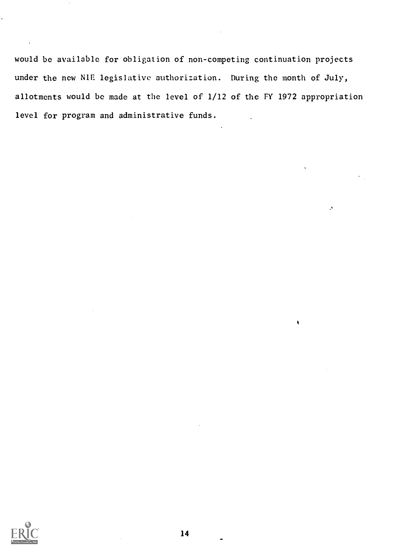would be available for obligation of non-competing continuation projects under the new N1E legislative authorization. During the month of July, allotments would be made at the level of 1/12 of the FY 1972 appropriation level for program and administrative funds.

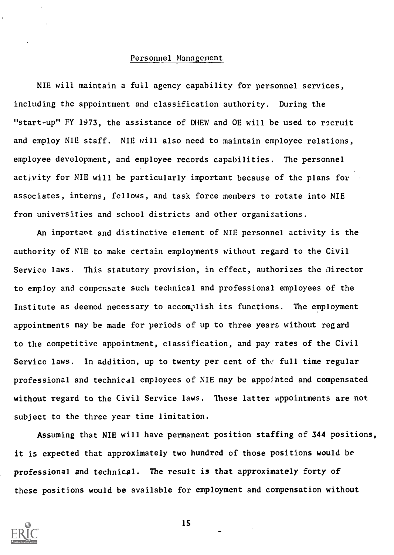#### Personnel Management

NIE will maintain a full agency capability for personnel services, including the appointment and classification authority. During the "start-up" FY 1973, the assistance of DHEW and OE will be used to recruit and employ NIE staff. NIE will also need to maintain employee relations, employee development, and employee records capabilities. The personnel activity for NIE will be particularly important because of the plans for associates, interns, fellows, and task force members to rotate into NIE from universities and school districts and other organizations.

An important and distinctive element of NIE personnel activity is the authority of NIE to make certain employments without regard to the Civil Service laws. This statutory provision, in effect, authorizes the Director to employ and compensate such technical and professional employees of the Institute as deemed necessary to accomplish its functions. The employment appointments may be made for periods of up to three years without regard to the competitive appointment, classification, and pay rates of the Civil Service laws. In addition, up to twenty per cent of the full time regular professional and technical employees of NIE may be appointed and compensated without regard to the Civil Service laws. These latter appointments are not subject to the three year time limitation.

Assuming that NIE will have permanent position staffing of 344 positions, it is expected that approximately two hundred of those positions would be professional and technical. The result is that approximately forty of these positions would be available for employment and compensation without



IS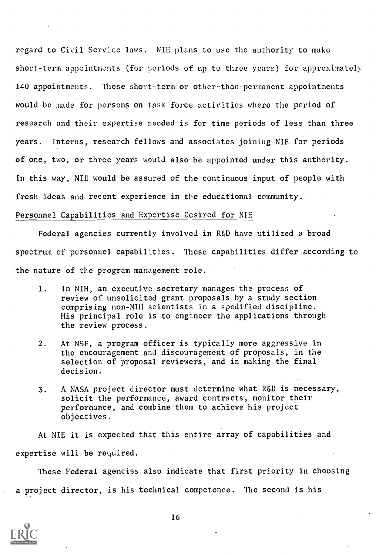regard to Civil Service laws. NIE plans to use the authority to make short-term appointments (for periods of up to three years) for approximately 140 appointments. These short-term or other-than-permanent appointments would be made for persons on task force activities where the period of research and their expertise needed is for time periods of less than three years. Interns, research fellows and associates joining NIE for periods of one, two, or three years would also be appointed under this authority. In this way, NIE would be assured of the continuous input of people with fresh ideas and recent experience in the educational community.

#### Personnel Capabilities and Expertise Desired for NIE

Federal agencies currently involved in R&D have utilized a broad spectrum of personnel capabilities. These capabilities differ according to the nature of the program management role.

- 1. In NIH, an executive secretary manages the process of review of unsolicited grant proposals by a study section comprising non-NIH scientists in a spedified discipline. His principal role is to engineer the applications through the review process.
- 2. At NSF, a program officer is typically more aggressive in the encouragement and discouragement of proposals, in the selection of proposal reviewers, and in making the final decision.
- 3. A NASA project director must determine what R&D is necessary, solicit the performance, award contracts, monitor their performance, and combine them to achieve his project objectives.

At NIE it is expected that this entire array of capabilities and expertise will be required.

These Federal agencies also indicate that first priority in choosing a project director, is his technical competence. The second is his

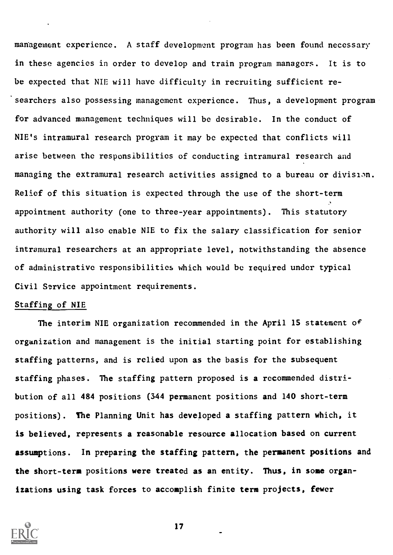management experience. A staff development program has been found necessary in these agencies in order to develop and train program managers. It is to be expected that NIE will have difficulty in recruiting sufficient re searchers also possessing management experience. Thus, a development program for advanced management techniques will be desirable. In the conduct of NIE's intramural research program it may be expected that conflicts will arise between the responsibilities of conducting intramural research and managing the extramural research activities assigned to a bureau or division. Relief of this situation is expected through the use of the short-term appointment authority (one to three-year appointments). This statutory authority will also enable NIE to fix the salary classification for senior intramural researchers at an appropriate level, notwithstanding the absence of administrative responsibilities which would be required under typical Civil Service appointment requirements.

### Staffing of NIE

The interim NIE organization recommended in the April 15 statement of organization and management is the initial starting point for establishing staffing patterns, and is relied upon as the basis for the subsequent staffing phases. The staffing pattern proposed is a recommended distribution of all 484 positions (344 permanent positions and 140 short-term positions). The Planning Unit has developed a staffing pattern which, it is believed, represents a reasonable resource allocation based on current assumptions. In preparing the staffing pattern, the permanent positions and the short-term positions were treated as an entity. Thus, in some organizations using task forces to accomplish finite term projects, fewer

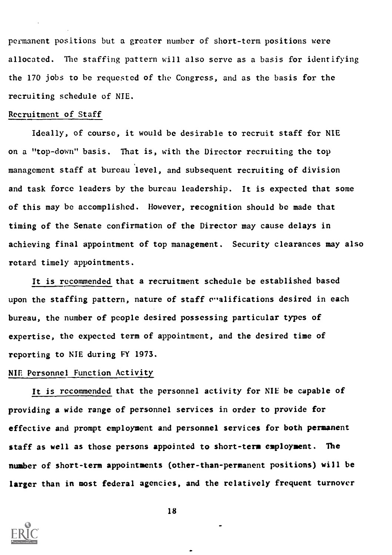permanent positions but a greater number of short-term positions were allocated. The staffing pattern will also serve as a basis for identifying the 170 jobs to be requested of the Congress, and as the basis for the recruiting schedule of NIE.

#### Recruitment of Staff

Ideally, of course, it would be desirable to recruit staff for NIE on a "top-down" basis. That is, with the Director recruiting the top management staff at bureau level, and subsequent recruiting of division and task force leaders by the bureau leadership. It is expected that some of this may be accomplished. However, recognition should be made that timing of the Senate confirmation of the Director may cause delays in achieving final appointment of top management. Security clearances may also retard timely appointments.

It is recommended that a recruitment schedule be established based upon the staffing pattern, nature of staff c"alifications desired in each bureau, the number of people desired possessing particular types of expertise, the expected term of appointment, and the desired time of reporting to NIE during FY 1973.

#### NIE Personnel Function Activity

It is recommended that the personnel activity for NIE be capable of providing a wide range of personnel services in order to provide for effective and prompt employment and personnel services for both permanent staff as well as those persons appointed to short-term employment. The number of short-term appointments (other-than-permanent positions) will be larger than in most federal agencies, and the relatively frequent turnover

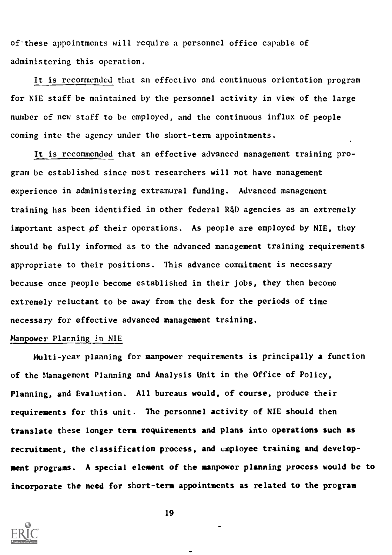of these appointments will require a personnel office capable of administering this operation.

It is recommended that an effective and continuous orientation program for NIE staff be maintained by the personnel activity in view of the large number of new staff to be employed, and the continuous influx of people coming into the agency under the short-term appointments.

It is recommended that an effective advanced management training program be established since most researchers will not have management experience in administering extramural funding. Advanced management training has been identified in other federal R&D agencies as an extremely important aspect of their operations. As people are employed by NIE, they should be fully informed as to the advanced management training requirements appropriate to their positions. This advance commitment is necessary because once people become established in their jobs, they then become extremely reluctant to be away from the desk for the periods of time necessary for effective advanced management training.

## Manpower Planning in NIE

Multi-year planning for manpower requirements is principally a function of the Management Planning and Analysis Unit in the Office of Policy, Planning, and Evaluation. All bureaus would, of course, produce their requirements for this unit. The personnel activity of NIE should then translate these longer term requirements and plans into operations such as recruitment, the classification process, and employee training and development programs. A special element of the manpower planning process would be to incorporate the need for short-term appointments as related to the program

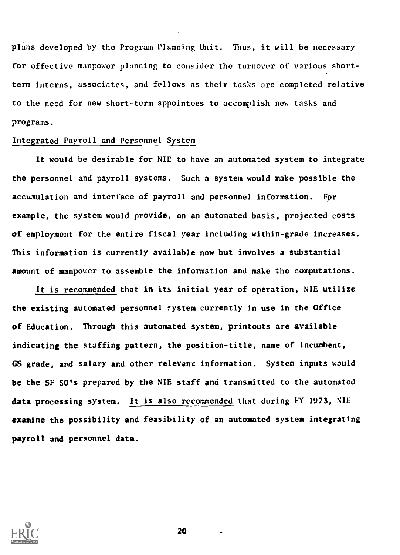plans developed by the Program Planning Unit. Thus, it will be necessary for effective manpower planning to consider the turnover of various shortterm interns, associates, and fellows as their tasks are completed relative to the need for new short-term appointees to accomplish new tasks and programs.

#### Integrated Payroll and Personnel System

It would be desirable for NIE to have an automated system to integrate the personnel and payroll systems. Such a system would make possible the accumulation and interface of payroll and personnel information. For example, the system would provide, on an automated basis, projected costs of employment for the entire fiscal year including within-grade increases. This information is currently available now but involves a substantial amount of manpower to assemble the information and make the computations.

It is recommended that in its initial year of operation, NIE utilize the existing automated personnel system currently in use in the Office of Education. Through this automated system, printouts are available indicating the staffing pattern, the position-title, name of incumbent, GS grade, and salary and other relevant information. System inputs would be the SF SO's prepared by the NIE staff and transmitted to the automated data processing system. It is also recommended that during FY 1973, NIE examine the possibility and feasibility of an automated system integrating payroll and personnel data.

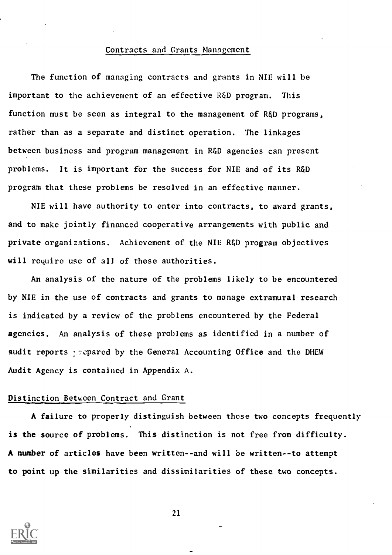#### Contracts and Grants Management

The function of managing contracts and grants in NIE will be important to the achievement of an effective R&D program. This function must be seen as integral to the management of R&D programs, rather than as a separate and distinct operation. The linkages between business and program management in R&D agencies can present problems. It is important for the success for NIE and of its R&D program that these problems be resolved in an effective manner.

NIE will have authority to enter into contracts, to award grants, and to make jointly financed cooperative arrangements with public and private organizations. Achievement of the NIE R&D program objectives will require use of all of these authorities.

An analysis of the nature of the problems likely to be encountered by NIE in the use of contracts and grants to manage extramural research is indicated by a review of the problems encountered by the Federal agencies. An analysis of these problems as identified in a number of audit reports : repared by the General Accounting Office and the DHEW Audit Agency is contained in Appendix A.

#### Distinction Between Contract and Grant

A failure to properly distinguish between these two concepts frequently is the source of problems. This distinction is not free from difficulty. A number of articles have been written--and will be written--to attempt to point up the similarities and dissimilarities of these two concepts.

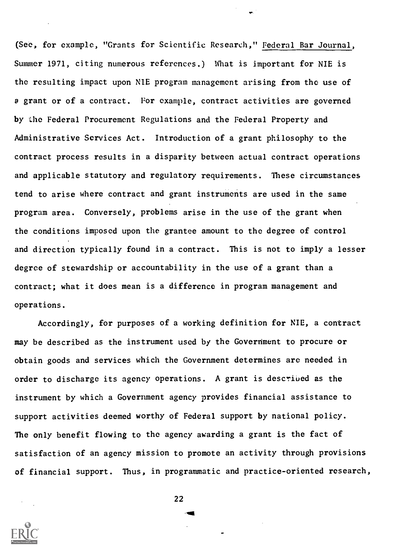(See, for example, "Grants for Scientific Research," Federal Bar Journal, Summer 1971, citing numerous references.) What is important for NIE is the resulting impact upon NIE program management arising from the use of a grant or of a contract. For example, contract activities are governed by the Federal Procurement Regulations and the Federal Property and Administrative Services Act. Introduction of a grant philosophy to the contract process results in a disparity between actual contract operations and applicable statutory and regulatory requirements. These circumstances tend to arise where contract and grant instruments are used in the same program area. Conversely, problems arise in the use of the grant when the conditions imposed upon the grantee amount to the degree of control and direction typically found in a contract. This is not to imply a lesser degree of stewardship or accountability in the use of a grant than a contract; what it does mean is a difference in program management and operations.

Accordingly, for purposes of a working definition for NIE, a contract may be described as the instrument used by the Goverriment to procure or obtain goods and services which the Government determines are needed in order to discharge its agency operations. A grant is described as the instrument by which a Government agency provides financial assistance to support activities deemed worthy of Federal support by national policy. The only benefit flowing to the agency awarding a grant is the fact of satisfaction of an agency mission to promote an activity through provisions of financial support. Thus, in programmatic and practice-oriented research,

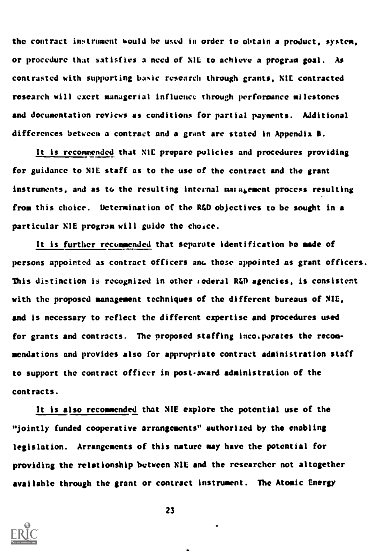the contract instrument would be used in order to obtain a product, system, or procedure that satisfies a need of NIL to achieve a program goal. As contrasted with supporting basic research through grants, N1E contracted research will exert managerial influence through performance milestones and documentation reviews as conditions for partial payments. Additional differences between a contract and a grant arc stated in Appendix B.

It is recommended that NIL prepare policies and procedures providing for guidance to NIL staff as to the use of the contract and the grant instruments, and as to the resulting internal maragement process resulting from this choice. Determination of the R&D objectives to be sought in a particular NIE program will guide the choice.

It is further recommended that separate identification ho made of persons appointed as contract officers am. those appointed as grant officers. This distinction is recognized in other  $\iota$  ederal R $\iota$ D agencies, is consistent with the proposed management techniques of the different bureaus of NIL, and is necessary to reflect the different expertise and procedures used for grants and contracts, The proposed staffing incoiparates the recommendations and provides also for appropriate contract administration staff to support the contract officer in post award administration of the contracts.

It is also recommended that NIE explore the potential use of the "jointly funded cooperative arrangements" authorized by the enabling legislation. Arrangements of this nature may have the potential for providing the relationship between N1E and the researcher not altogether available through the grant or contract instrument. The Atomic Energy

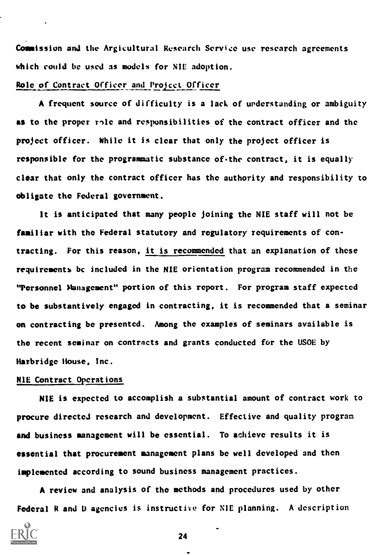Commission and the Argicultural Research Service use research agreements which could be used as models for NIE adoption.

#### Role of Contract Officer and Project Officer

A frequent source of difficulty is a lack of understanding or ambiguity as to the proper rile and responsibilities of the contract officer and the project officer. While it is clear that only the project officer is responsible for the programmatic substance of the contract, it is equally clear that only the contract officer has the authority and responsibility to obligate the Federal government.

It is anticipated that many people joining the NIE staff will not be familiar with the Federal statutory and regulatory requirements of contracting. For this reason, it is recommended that an explanation of these requirements be included in the NIE orientation program recommended in the "Personnel Management" portion of this report. For program staff expected to be substantively engaged in contracting, it is recommended that a seminar on contracting be presented. Among the examples of seminars available is the recent seminar on contracts and grants conducted for the USOE by Harbridge House, Inc.

#### NIE Contract Operations

NIE is expected to accomplish a substantial amount of contract work to procure directed research and development. Effective and quality program and business management will be essential. To achieve results it is essential that procurement management plans be well developed and then implemented according to sound business management practices.

A review and analysis of the methods and procedures used by other Federal R and U agencies is instructive for NIE planning. A description

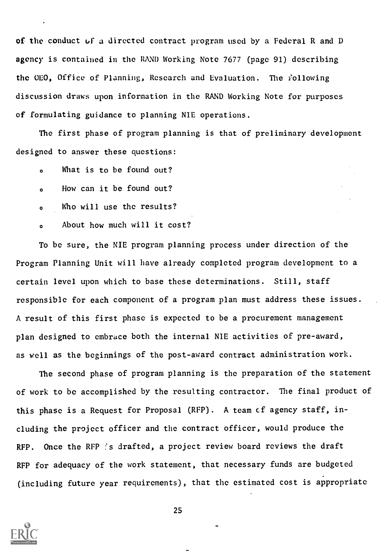of the conduct if a directed contract program used by a Federal R and D agency is contained in the RAND Working Note 7677 (page 91) describing the 0E0, Office of Planning, Research and Evaluation. The following discussion draws upon information in the RAND Working Note for purposes of formulating guidance to planning NIE operations.

The first phase of program planning is that of preliminary development designed to answer these questions:

- <sup>o</sup> What is to be found out?
- <sup>o</sup> How can it be found out?
- <sup>o</sup> Who will use the results?
- <sup>o</sup> About how much will it cost?

To be sure, the NIE program planning process under direction of the Program Planning Unit will have already completed program development to a certain level upon which to base these determinations. Still, staff responsible for each component of a program plan must address these issues. A result of this first phase is expected to be a procurement management plan designed to embrace both the internal NIE activities of pre-award, as well as the beginnings of the post-award contract administration work.

The second phase of program planning is the preparation of the statement of work to be accomplished by the resulting contractor. The final product of this phase is a Request for Proposal (RFP). A team et agency staff, including the project officer and the contract officer, would produce the RFP. Once the RFP :s drafted, a project review board reviews the draft RFP for adequacy of the work statement, that necessary funds are budgeted (including future year requirements), that the estimated cost is appropriate

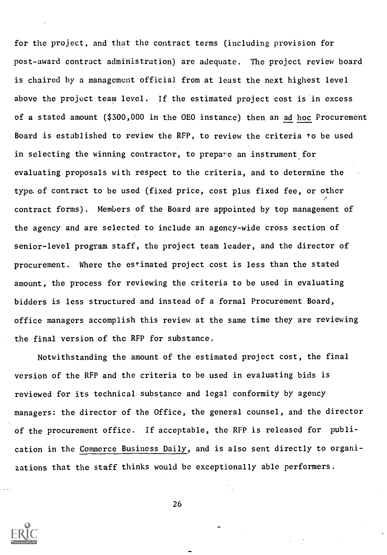for the project, and that the contract terms (including provision for post-award contract administration) are adequate. The project review board is chaired by a management official from at least the next highest level above the project team level. If the estimated project cost is'in excess of a stated amount (\$300,000 in the 0E0 instance) then an ad hoc Procurement Board is established to review the RFP, to review the criteria to be used in selecting the winning contractor, to prepare an instrument for evaluating proposals with respect to the criteria, and to determine the type-of contract to be used (fixed price, cost plus fixed fee, or other contract forms). Members of the Board are appointed by top management of the agency and are selected to include an agency-wide cross section of senior-level program staff, the project team leader, and the director of procurement. Where the estimated project cost is less than the stated amount, the process for reviewing the criteria to be used in evaluating bidders is less structured and instead of a formal Procurement Board, office managers accomplish this review at the same time they are reviewing the final version of the RFP for substance,

Notwithstanding the amount of the estimated project cost, the final version of the RFP and the criteria to be used in evaluating bids is reviewed for its technical substance and legal conformity by agency managers: the director of the Office, the general counsel, and the director of the procurement office. If acceptable, the RFP is released for publication in the Commerce Business Daily, and is also sent directly to organizations that the staff thinks would be exceptionally able performers.

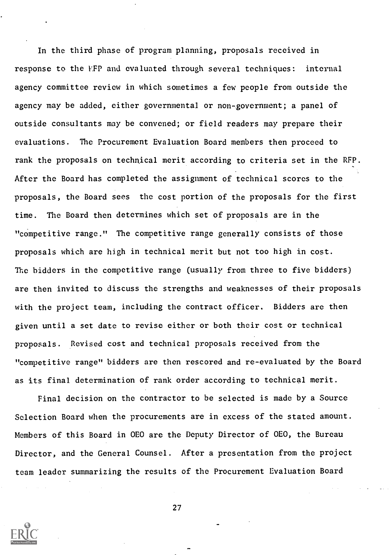In the third phase of program planning, proposals received in response to the FFP and evaluated through several techniques: internal agency committee review in which sometimes a few people from outside the agency may be added, either governmental or non-government; a panel of outside consultants may be convened; or field readers may prepare their evaluations. The Procurement Evaluation Board members then proceed to rank the proposals on technical merit according to criteria set in the RFP. After the Board has completed the assignment of technical scores to the proposals, the Board sees the cost portion of the proposals for the first time. The Board then determines which set of proposals are in the "competitive range." The competitive range generally consists of those proposals which are high in technical merit but not too high in cost. The bidders in the competitive range (usually from three to five bidders) are then invited to discuss the strengths and weaknesses of their proposals with the project team, including the contract officer. Bidders are then given until a set date to revise either or both their cost or technical proposals. Revised cost and technical proposals received from the "competitive range" bidders are then rescored and re-evaluated by the Board as its final determination of rank order according to technical merit.

Final decision on the contractor to be selected is made by a Source Selection Board when the procurements are in excess of the stated amount. Members of this Board in OEO are the Deputy Director of OEO, the Bureau Director, and the General Counsel. After a presentation from the project team leader summarizing the results of the Procurement Evaluation Board

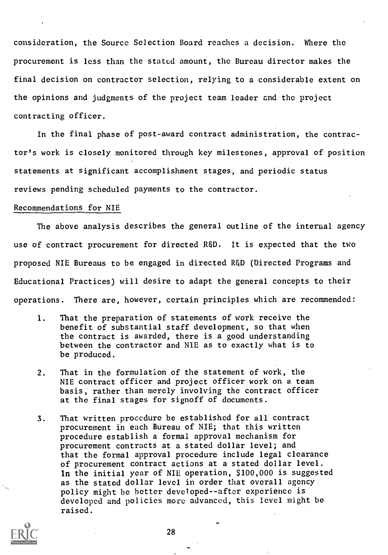consideration, the Source Selection Board reaches a decision. Where the procurement is less than the stated amount, the Bureau director makes the final decision on contractor selection, relying to a considerable extent on the opinions and judgments of the project team leader and the project contracting officer.

In the final phase of post-award contract administration, the contractor's work is closely monitored through key milestones, approval of position statements at significant accomplishment stages, and periodic status reviews pending scheduled payments to the contractor.

#### Recommendations for NIE

The above analysis describes the general outline of the internal agency use of contract procurement for directed RED. It is expected that the two proposed NIE Bureaus to be engaged in directed R&D (Directed Programs and Educational Practices) will desire to adapt the general concepts to their operations. There are, however, certain principles which are recommended:

- I. That the preparation of statements of work receive the benefit of substantial staff development, so that when the contract is awarded, there is a good understanding between the contractor and NIE as to exactly what is to be produced.
- 2. That in the formulation of the statement of work, the NIE contract officer and project officer work on a team basis, rather than merely involving the contract officer at the final stages for signoff of documents.
- 3. That written procedure be established for all contract procurement in each Bureau of NIE; that this written procedure establish a formal approval mechanism for procurement contracts at a stated dollar level; and that the formal approval procedure include legal clearance of procurement contract actions at a stated dollar level. In the initial year of NIE operation, \$100,000 is suggested as the stated dollar level in order that overall agency polity might be better developed- -after experience is developed and policies more advanced, this level might be raised.

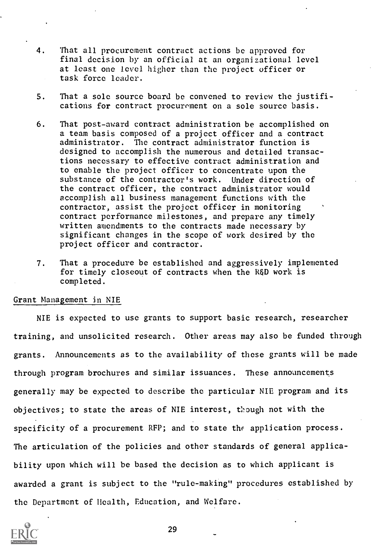- 4. That all procurement contract actions be approved for final decision by an official at an organizational level at least one level higher than the project officer or task force leader.
- 5. That a sole source board be convened to review the justifications for contract procurement on a sole source basis.
- 6. That post-award contract administration be accomplished on a team basis composed of a project officer and a contract administrator. The contract administrator function is designed to accomplish the numerous and detailed transactions necessary to effective contract administration and to enable the project officer to concentrate upon the substance of the contractor's work. Under direction of the contract officer, the contract administrator would accomplish all business management functions with the contractor, assist the project officer in monitoring contract performance milestones, and prepare any timely written amendments to the contracts made necessary by significant changes in the scope of work desired by the project officer and contractor.
- 7. That a procedure be established and aggressively implemented for timely closeout of contracts when the R&D work is completed.

#### Grant Management in NIE

NIE is expected to use grants to support basic research, researcher training, and unsolicited research. Other areas may also be funded through grants. Announcements as to the availability of these grants will be made through program brochures and similar issuances. These announcements generally may be expected to describe the particular NIE program and its objectives; to state the areas of NIE interest, though not with the specificity of a procurement RFP; and to state the application process. The articulation of the policies and other standards of general applicability upon which will be based the decision as to which applicant is awarded a grant is subject to the "rule-making" procedures established by the Department of Health, Education, and Welfare.

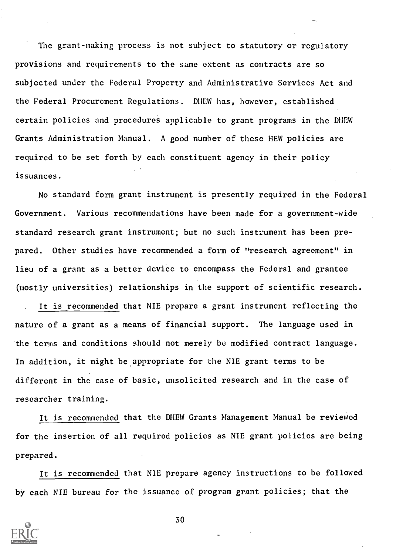The grant-making process is not subject to statutory or regulatory provisions and requirements to the same extent as contracts are so subjected under the Federal Property and Administrative Services Act and the Federal Procurement Regulations. DHEW has, however, established certain policies and procedures applicable to grant programs in the DHEW Grants Administration Manual. A good number of these HEW policies are required to be set forth by each constituent agency in their policy issuances.

No standard form grant instrument is presently required in the Federal Government. Various recommendations have been made for a government-wide standard research grant instrument; but no such instrument has been prepared. Other studies have recommended a form of "research agreement" in lieu of a grant as a better device to encompass the Federal and grantee (mostly universities) relationships in the support of scientific research.

It is recommended that NIE prepare a grant instrument reflecting the nature of a grant as a means of financial support. The language used in the terms and conditions should not merely be modified contract language. In addition, it might be appropriate for the NIE grant terms to be different in the case of basic, unsolicited research and in the case of researcher training.

It is recommended that the DHEW Grants Management Manual be reviewed for the insertion of all required policies as NIE grant policies are being prepared.

It is recommended that NIE prepare agency instructions to be followed by each NIE bureau for the issuance of program grant policies; that the

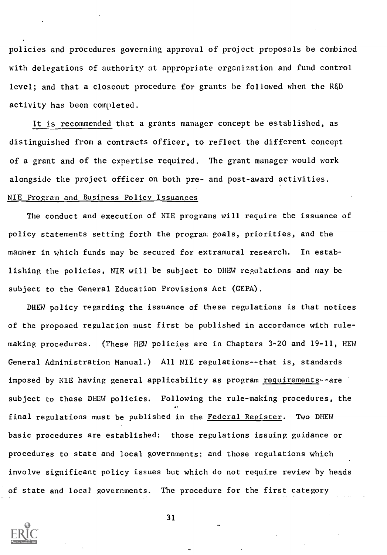policies and procedures governing approval of project proposals be combined with delegations of authority at appropriate organization and fund control level; and that a closeout procedure for grants be followed when the R&D activity has been completed.

It is recommended that a grants manager concept be established, as distinguished from a contracts officer, to reflect the different concept of a grant and of the expertise required. The grant manager would work alongside the project officer on both pre- and post-award activities. NIE Program and Business Policy Issuances

The conduct and execution of NIE programs will require the issuance of policy statements setting forth the program goals, priorities, and the manner in which funds may be secured for extramural research. In establishing the policies, NIE will be subject to DHEW regulations and may be subject to the General Education Provisions Act (GEPA).

DHEW policy regarding the issuance of these regulations is that notices of the proposed regulation must first be published in accordance with rulemaking procedures. (These HEW policies are in Chapters 3-20 and 19-11, HEW General Administration Manual.) All NIE regulations--that is, standards imposed by NIE having general applicability as program requirements--are subject to these DHEW policies. Following the rule-making procedures, the final regulations must be published in the Federal Register. Two DHEW basic procedures are established: those regulations issuing guidance or procedures to state and local governments: and those regulations which involve significant policy issues but which do not require review by heads of state and local governments. The procedure for the first category

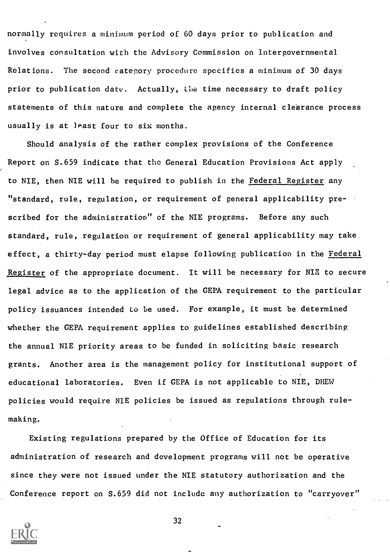normally requires a minimum period of 60 days prior to publication and involves consultation with the Advisory Commission on Intergovernmental Relations. The second category procedure specifies a minimum of 30 days prior to publication date. Actually, the time necessary to draft policy statements of this nature and complete the agency internal clearance process usually is at least four to six months.

Should analysis of the rather complex provisions of the Conference Report on S.659 indicate that the General Education Provisions Act apply to NIE, then NIE will be required to publish in the Federal Register any "standard, rule, regulation, or requirement of general applicability prescribed for the administration" of the NIE programs. Before any such standard, rule, regulation or requirement of general applicability may take effect, a thirty-day period must elapse following publication in the Federal Register of the appropriate document. It will be necessary for NIE to secure legal advice as to the application of the GEPA requirement to the particular policy issuances intended to be used. For example, it must be determined whether the GEPA requirement applies to guidelines established describing the annual NIE priority areas to be funded in soliciting basic research grants. Another area is the management policy for institutional support of educational laboratories. Even if GEPA is not applicable to NIE, DHEW policies would require NIE policies be issued as regulations through rulemaking.

Existing regulations prepared by the Office of Education for its administration of research and development programs will not be operative since they were not issued under the NIE statutory authorization and the Conference report on S.659 did not include any authorization to "carryover"

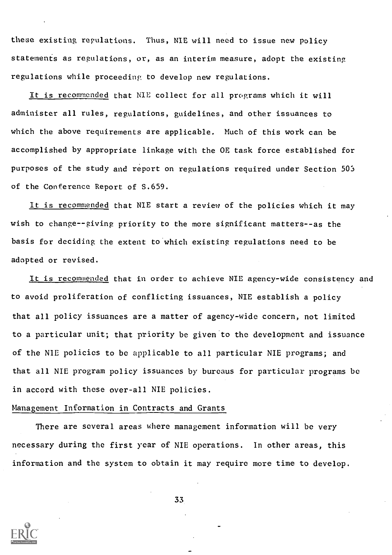these existing regulations. Thus, NIE will need to issue new policy statements as regulations, or, as an interim measure, adopt the existing regulations while proceeding to develop new regulations.

It is recommended that NIE collect for all programs which it will administer all rules, regulations, guidelines, and other issuances to which the above requirements are applicable. Much of this work can be accomplished by appropriate linkage with the OE task force established for purposes of the study and report on regulations required under Section 503 of the Conference Report of S.659.

It is recommended that NIE start a review of the policies which it may wish to change--giving priority to the more significant matters--as the basis for deciding the extent to which existing regulations need to be adopted or revised.

It is recommended that in order to achieve NIE agency-wide consistency and to avoid proliferation of conflicting issuances, NIE establish a policy that all policy issuances are a matter of agency-wide concern, not limited to a particular unit; that priority be given to the development and issuance of the NIE policies to be applicable to all particular NIE programs; and that all NIE program policy issuances by bureaus for particular programs be in accord with these over-all NIE policies.

#### Management Information in Contracts and Grants

There are several areas where management information will be very necessary during the first year of NIE operations. In other areas, this information and the system to obtain it may require more time to develop.

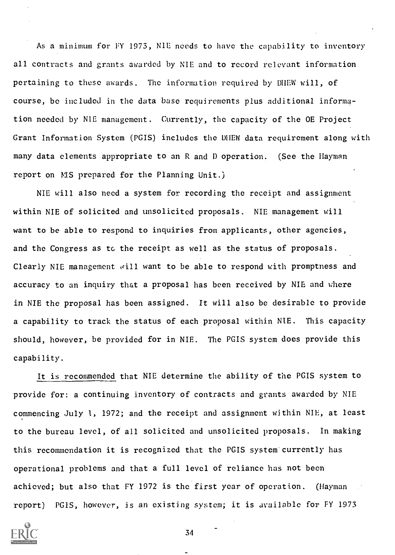As a minimum for FY 1973, N1E needs to have the capability to inventory all contracts and grants awarded by NIE and to record relevant information pertaining to these awards. The information required by DHEW will, of course, be included in the data base requirements plus additional information needed by NIE management. Currently, the capacity of the OE Project Grant Information System (PGIS) includes the DHEW data requirement along with many data elements appropriate to an R and D operation. (See the Hayman report on MS prepared for the Planning Unit.)

NIE will also need a system for recording the receipt and assignment within NIE of solicited and unsolicited proposals. NIE management will want to be able to respond to inquiries from applicants, other agencies, and the Congress as tc the receipt as well as the status of proposals. Clearly NIE management will want to be able to respond with promptness and accuracy to an inquiry that a proposal has been received by NIE and where in NIE the proposal has been assigned. It will also be desirable to provide a capability to track the status of each proposal within NIE. This capacity should, however, be provided for in NIE. The PGIS system does provide this capability.

It is recommended that NIE determine the ability of the PGIS system to provide for: a continuing inventory of contracts and grants awarded by NIE commencing July 1, 1972; and the receipt and assignment within NIE, at least to the bureau level, of all solicited and unsolicited proposals. In making this recommendation it is recognized that the PGIS system currently has operational problems and that a full level of reliance has not been achieved; but also that FY 1972 is the first year of operation. (Hayman report) PGIS, however, is an existing system; it is available for FY 1973

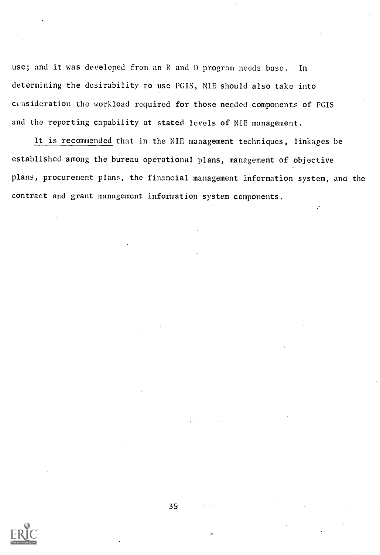use; and it was developed from an R and I) program needs base. In determining the desirability to use PGIS, NIE should also take into ccasideration the workload required for those needed components of PGIS and the reporting capability at stated levels of NIE management.

It is recommended that in the NIE management techniques, linkages be established among the bureau operational plans, management of objective plans, procurement plans, the financial management information system, ana the contract and grant management information system components.

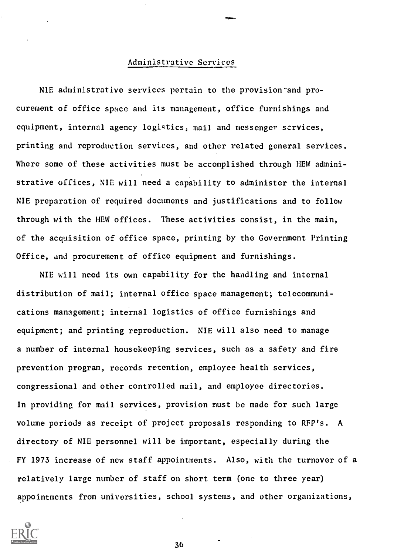#### Administrative Services

NIE administrative services pertain to the provision and procurement of office space and its management, office furnishings and equipment, internal agency logistics, mail and messenger scrvices, printing and reproduction services, and other related general services. Where some of these activities must be accomplished through HEW administrative offices, NIE will need a capability to administer the internal NIE preparation of required documents and justifications and to follow through with the HEW offices. These activities consist, in the main, of the acquisition of office space, printing by the Government Printing Office, and procurement of office equipment and furnishings.

NIE will need its own capability for the handling and internal distribution of mail; internal office space management; telecommunications management; internal logistics of office furnishings and equipment; and printing reproduction. NIE will also need to manage a number of internal housekeeping services, such as a safety and fire prevention program, records retention, employee health services, congressional and other controlled mail, and employee directories. In providing for mail services, provision must be made for such large volume periods as receipt of project proposals responding to RFP's. A directory of NIE personnel will be important, especially during the FY 1973 increase of new staff appointments. Also, with the turnover of a relatively large number of staff on short term (one to three year) appointments from universities, school systems, and other organizations,

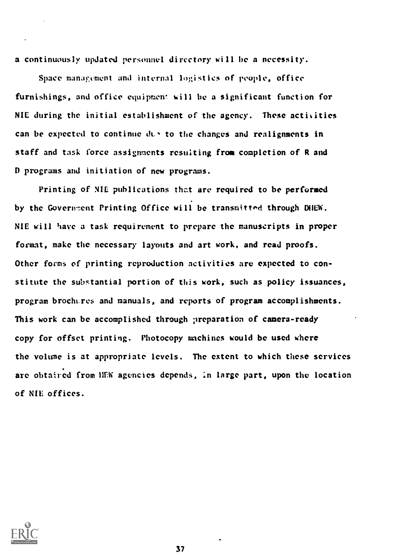a continuously updated personnel directory will be a necessity.

Space management and internal logistics of people, office furnishings, and office equipment will be a significant function for NIE during the initial establishment of the agency. These activities can be expected to continue  $dx + y$  to the changes and realignments in staff and task force assignments resulting from completion of R and D programs and initiation of new programs.

Printing of NIL publications that are required to be performed by the Government Printing Office will be transmitted through DHEW. NIE will have a task requirement to prepare the manuscripts in proper format, make the necessary layouts and art work, and read proofs. Other forms of printing reproduction activities are expected to constitute the substantial portion of this work, such as policy issuances, program brochures and manuals, and reports of program accomplishments. This work can be accomplished through preparation of camera-ready copy for offset printing. Photocopy machines would be used where the volume is at appropriate levels. The extent to which these services are obtained from HEW agencies depends, in large part, upon the location of NIL offices.

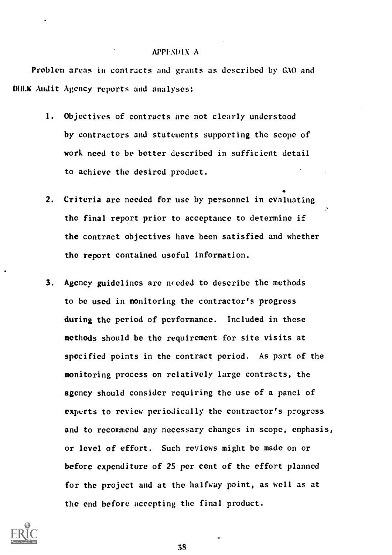#### **APPENDIX A**

Problem areas in contracts and grants as described by GAO and UMW Audit Agency reports and analyses:

- 1. Objectives of contracts are not clearly understood by contractors and statements supporting the scope of work need to be better described in sufficient detail to achieve the desired product.
- 2. Criteria are needed for use by personnel in evaluating the final report prior to acceptance to determine if the contract objectives have been satisfied and whether the report contained useful information.
- 3. Agency guidelines are needed to describe the methods to be used in monitoring the contractor's progress during the period of performance. Included in these methods should be the requirement for site visits at specified points in the contract period. As part of the monitoring process on relatively large contracts, the agency should consider requiring the use of a panel of experts to review periodically the contractor's progress and to recommend any necessary changes in scope, emphasis, or level of effort. Such reviews might be made on or before expenditure of 25 per cent of the effort planned for the project and at the halfway point, as well as at the end before accepting the final product.

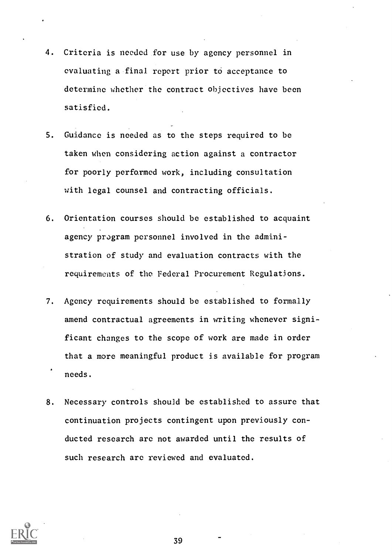- 4. Criteria is needed for use by agency personnel in evaluating a final report prior to acceptance to determine whether the contract objectives have been satisfied.
- 5. Guidance is needed as to the steps required to be taken when considering action against a contractor for poorly performed work, including consultation with legal counsel and contracting officials.
- 6. Orientation courses should be established to acquaint agency program personnel involved in the administration of study and evaluation contracts with the requirements of the Federal Procurement Regulations.
- 7. Agency requirements should be established to formally amend contractual agreements in writing whenever significant changes to the scope of work are made in order that a more meaningful product is available for program needs.
- 8. Necessary controls should be established to assure that continuation projects contingent upon previously conducted research are not awarded until the results of such research are reviewed and evaluated.

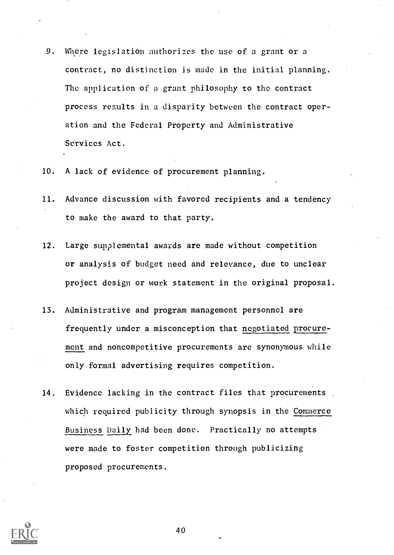- 9. Where legislation authorizes the use of a grant or a contract, no distinction is made in the initial planning. The application of a grant philosophy to the contract process results in a disparity between the contract operation and the Federal Property and Administrative Services Act.
- 10. A lack of evidence of procurement planning.
- 11. Advance discussion with favored recipients and a tendency to make the award to that party.
- 12. Large supplemental awards are made without competition or analysis of budget need and relevance, due to unclear project design or work statement in the original proposal.
- 13. Administrative and program management personnel are frequently under a misconception that negotiated procurement and noncompetitive procurements arc synonymous while only formal advertising requires competition.
- 14. Evidence lacking in the contract files that procurements. which required publicity through synopsis in the Commerce Business Daily had been done. Practically no attempts were made to foster competition through publicizing proposed procurements.

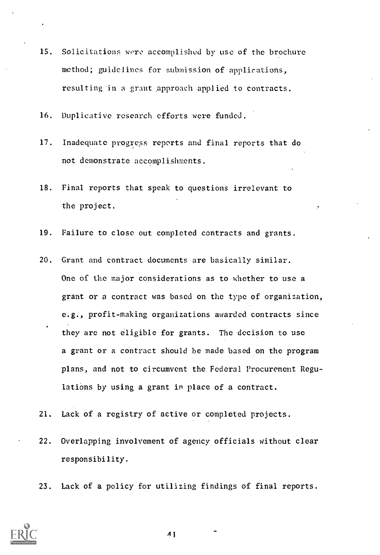- 15. Solicitations wore accomplished by use of the brochure method; guidelines for submission of applications, resulting in a grant approach applied to contracts.
- 16. Duplicative research efforts were funded.
- 17. Inadequate progress reports and final reports that do not demonstrate accomplishments.
- 18. Final reports that speak to questions irrelevant to the project.
- 19. Failure to close out completed contracts and grants.
- 20. Grant and contract documents are basically similar. One of the major considerations as to whether to use a grant or a contract was based on the type of organization, e.g., profit-making organizations awarded contracts since they are not eligible for grants. The decision to use a grant or a contract should be made based on the program plans, and not to circumvent the Federal Procurement Regulations by using a grant in place of a contract.
- 21. Lack of a registry of active or completed projects.
- 22. Overlapping involvement of agency officials without clear responsibility.
- 23. Lack of a policy for utilizing findings of final reports.



 $\overline{1}$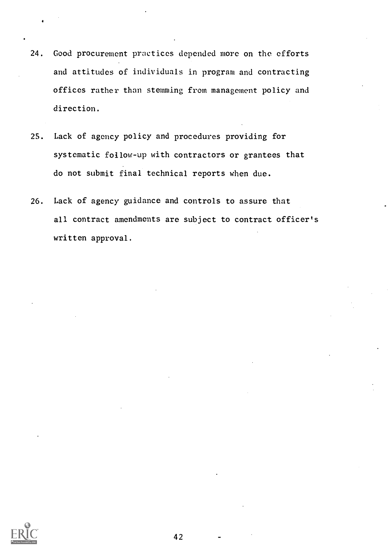- 24. Good procurement practices depended more on the efforts and attitudes of individuals in program and contracting offices rather than stemming from management policy and direction.
- 25. Lack of agency policy and procedures providing for systematic follow-up with contractors or grantees that do not submit final technical reports when due.
- 26. Lack of agency guidance and controls to assure that all contract amendments are subject to contract officer's written approval.